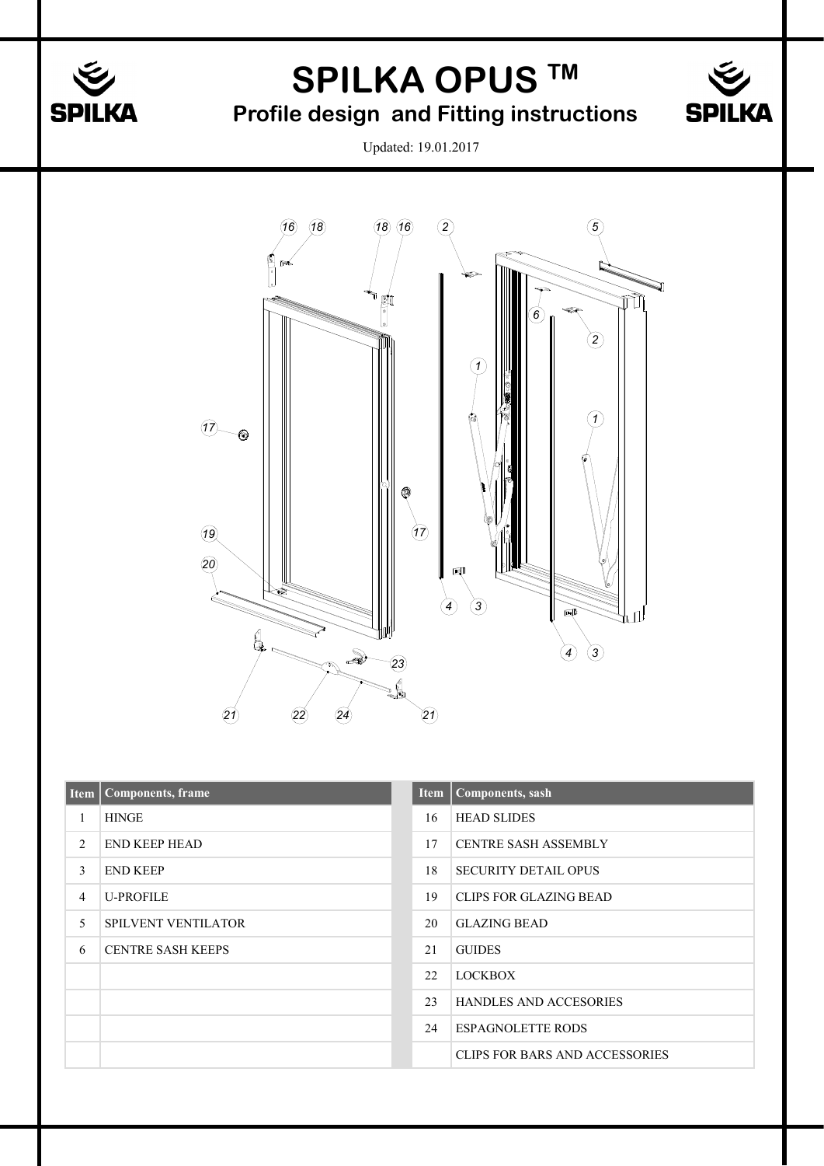

## **SPILKA OPUS TM**

## **Profile design and Fitting instructions**



Updated: 19.01.2017



|   | Item   Components, frame   | <b>Item</b> | <b>Components</b> , sash       |
|---|----------------------------|-------------|--------------------------------|
|   | <b>HINGE</b>               | 16          | <b>HEAD SLIDES</b>             |
| 2 | <b>END KEEP HEAD</b>       | 17          | <b>CENTRE SASH ASSEMBLY</b>    |
| 3 | <b>END KEEP</b>            | 18          | <b>SECURITY DETAIL OPUS</b>    |
| 4 | <b>U-PROFILE</b>           | 19          | <b>CLIPS FOR GLAZING BEAD</b>  |
| 5 | <b>SPILVENT VENTILATOR</b> | 20          | <b>GLAZING BEAD</b>            |
| 6 | <b>CENTRE SASH KEEPS</b>   | 21          | <b>GUIDES</b>                  |
|   |                            | 22          | <b>LOCKBOX</b>                 |
|   |                            | 23          | <b>HANDLES AND ACCESORIES</b>  |
|   |                            | 24          | <b>ESPAGNOLETTE RODS</b>       |
|   |                            |             | CLIPS FOR BARS AND ACCESSORIES |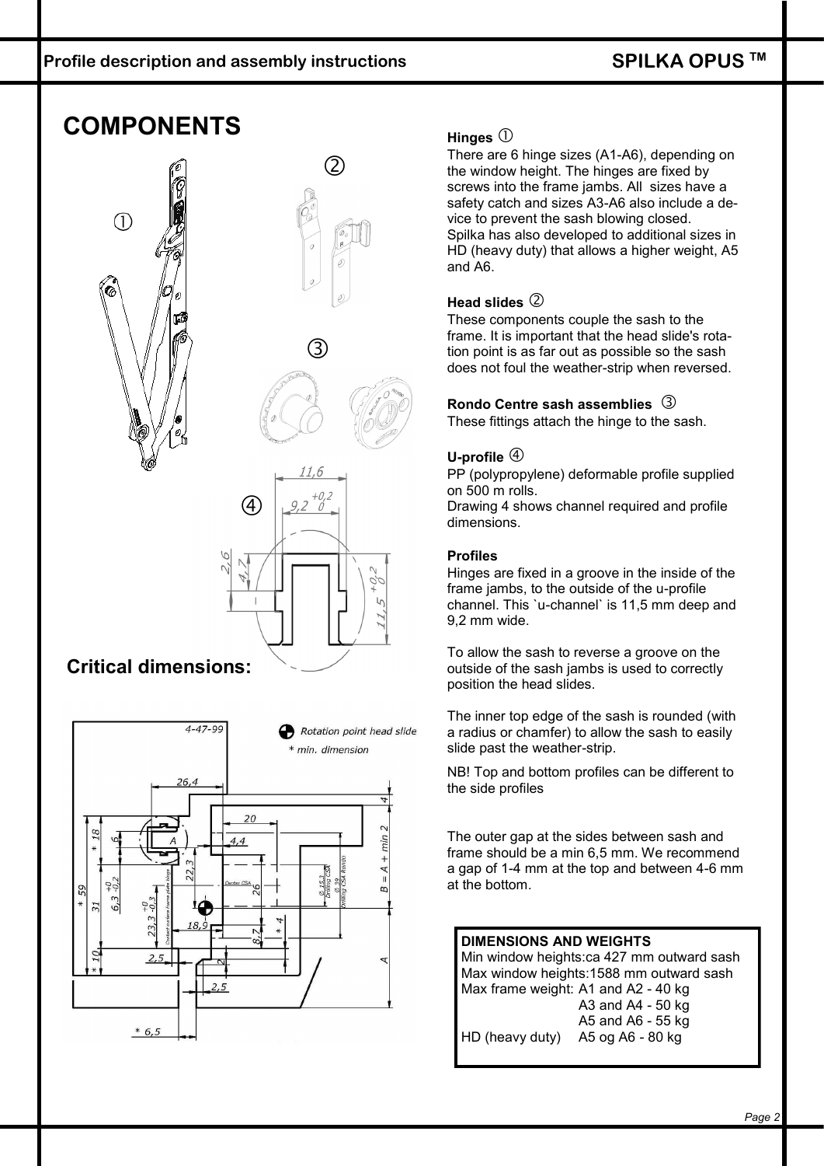## **COMPONENTS**



#### **Critical dimensions:**



#### **Hinges**

There are 6 hinge sizes (A1-A6), depending on the window height. The hinges are fixed by screws into the frame jambs. All sizes have a safety catch and sizes A3-A6 also include a device to prevent the sash blowing closed. Spilka has also developed to additional sizes in HD (heavy duty) that allows a higher weight, A5 and A6.

#### **Head slides**

These components couple the sash to the frame. It is important that the head slide's rotation point is as far out as possible so the sash does not foul the weather-strip when reversed.

#### **Rondo Centre sash assemblies**  These fittings attach the hinge to the sash.

#### **U-profile**

PP (polypropylene) deformable profile supplied on 500 m rolls. Drawing 4 shows channel required and profile dimensions.

#### **Profiles**

Hinges are fixed in a groove in the inside of the frame jambs, to the outside of the u-profile channel. This `u-channel` is 11,5 mm deep and 9,2 mm wide.

To allow the sash to reverse a groove on the outside of the sash jambs is used to correctly position the head slides.

The inner top edge of the sash is rounded (with a radius or chamfer) to allow the sash to easily slide past the weather-strip.

NB! Top and bottom profiles can be different to the side profiles

The outer gap at the sides between sash and frame should be a min 6,5 mm. We recommend a gap of 1-4 mm at the top and between 4-6 mm at the bottom.

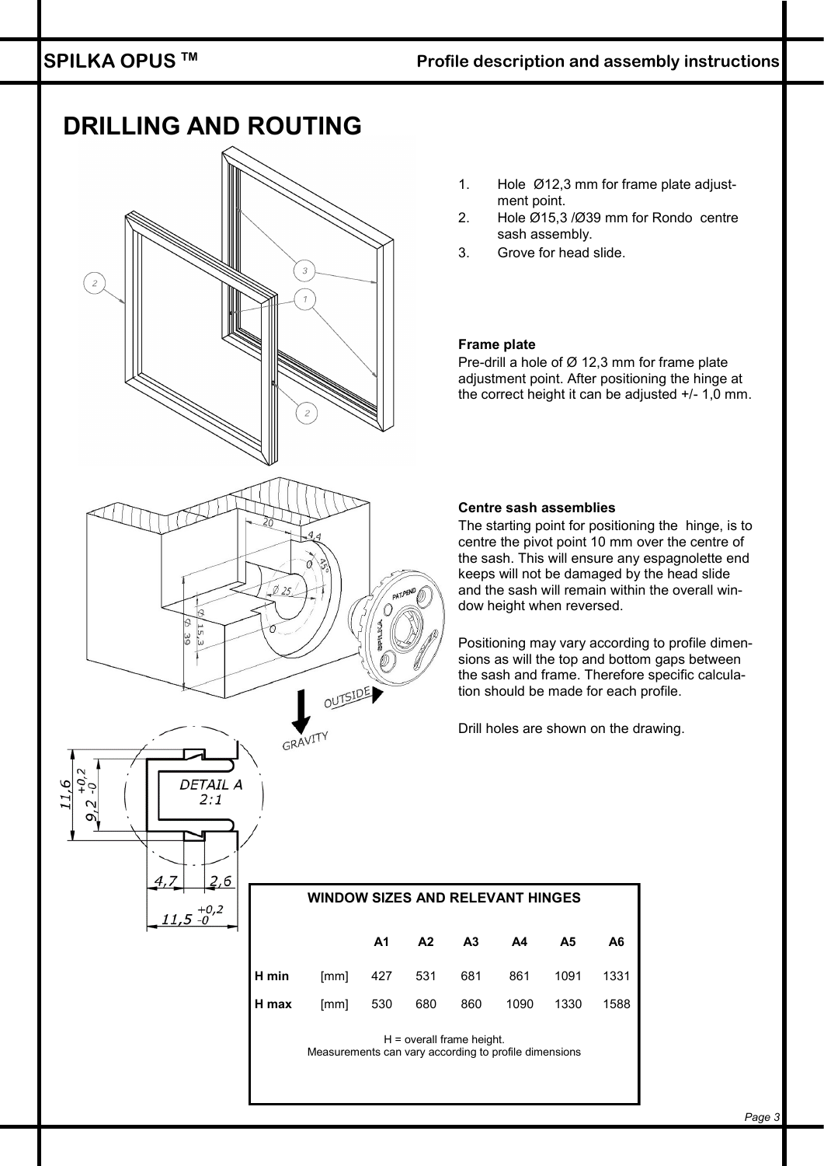#### **SPILKA OPUS TM**

#### **Profile description and assembly instructions**

# **DRILLING AND ROUTING**  $\overline{c}$ Ó **PATP**  $\bigcirc$  $\pi$ ۲<br>تا OUTSIDE GRAVITY DETAIL A <u>s</u> C  $2:1$  $4.7$ 2,6  $11,5^{+0,2}_{-0}$

- 1. Hole Ø12,3 mm for frame plate adjustment point.
- 2. Hole Ø15,3 /Ø39 mm for Rondo centre sash assembly.
- 3. Grove for head slide.

#### **Frame plate**

Pre-drill a hole of Ø 12,3 mm for frame plate adjustment point. After positioning the hinge at the correct height it can be adjusted +/- 1,0 mm.

#### **Centre sash assemblies**

The starting point for positioning the hinge, is to centre the pivot point 10 mm over the centre of the sash. This will ensure any espagnolette end keeps will not be damaged by the head slide and the sash will remain within the overall window height when reversed.

Positioning may vary according to profile dimensions as will the top and bottom gaps between the sash and frame. Therefore specific calculation should be made for each profile.

Drill holes are shown on the drawing.

#### **WINDOW SIZES AND RELEVANT HINGES**

|                                              |  |  | A1 A2 A3 A4 A5 | A6 |  |
|----------------------------------------------|--|--|----------------|----|--|
| <b>H min</b> [mm] 427 531 681 861 1091 1331  |  |  |                |    |  |
| <b>H max</b> [mm] 530 680 860 1090 1330 1588 |  |  |                |    |  |

H = overall frame height. Measurements can vary according to profile dimensions